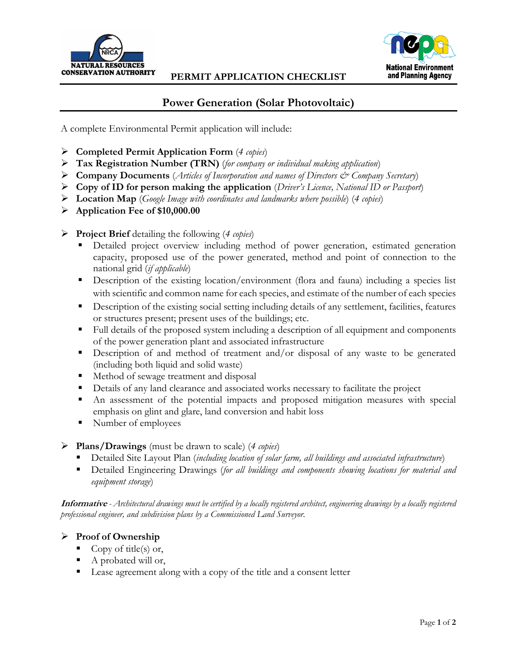

### **PERMIT APPLICATION CHECKLIST**



# **Power Generation (Solar Photovoltaic)**

A complete Environmental Permit application will include:

- **Completed Permit Application Form** (*4 copies*)
- **Tax Registration Number (TRN)** (*for company or individual making application*)
- **Company Documents** (*Articles of Incorporation and names of Directors & Company Secretary*)
- **Copy of ID for person making the application** (*Driver's Licence, National ID or Passport*)
- **Location Map** (*Google Image with coordinates and landmarks where possible*) (*4 copies*)
- **Application Fee of \$10,000.00**
- **Project Brief** detailing the following (*4 copies*)
	- Detailed project overview including method of power generation, estimated generation capacity, proposed use of the power generated, method and point of connection to the national grid (*if applicable*)
	- **Description of the existing location/environment (flora and fauna) including a species list** with scientific and common name for each species, and estimate of the number of each species
	- Description of the existing social setting including details of any settlement, facilities, features or structures present; present uses of the buildings; etc.
	- Full details of the proposed system including a description of all equipment and components of the power generation plant and associated infrastructure
	- **Description** of and method of treatment and/or disposal of any waste to be generated (including both liquid and solid waste)
	- Method of sewage treatment and disposal
	- Details of any land clearance and associated works necessary to facilitate the project
	- An assessment of the potential impacts and proposed mitigation measures with special emphasis on glint and glare, land conversion and habit loss
	- Number of employees
- **Plans/Drawings** (must be drawn to scale) (*4 copies*)
	- Detailed Site Layout Plan (*including location of solar farm, all buildings and associated infrastructure*)
	- Detailed Engineering Drawings (for all buildings and components showing locations for material and *equipment storage*)

**Informative** *- Architectural drawings must be certified by a locally registered architect, engineering drawings by a locally registered professional engineer, and subdivision plans by a Commissioned Land Surveyor.*

## **Proof of Ownership**

- Copy of title(s) or,
- A probated will or,
- Lease agreement along with a copy of the title and a consent letter